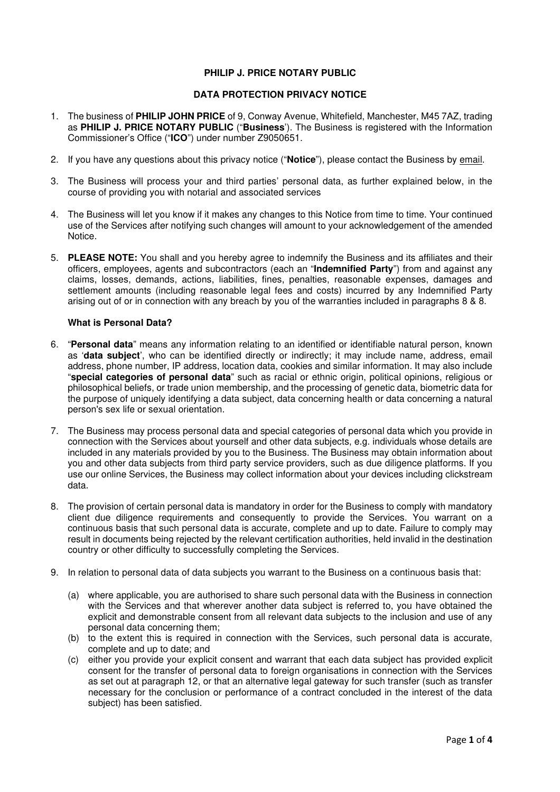# **PHILIP J. PRICE NOTARY PUBLIC**

# **DATA PROTECTION PRIVACY NOTICE**

- 1. The business of **PHILIP JOHN PRICE** of 9, Conway Avenue, Whitefield, Manchester, M45 7AZ, trading as **PHILIP J. PRICE NOTARY PUBLIC** ("**Business**'). The Business is registered with the Information Commissioner's Office ("**ICO**") under number Z9050651.
- 2. If you have any questions about this privacy notice ("**Notice**"), please contact the Business by email.
- 3. The Business will process your and third parties' personal data, as further explained below, in the course of providing you with notarial and associated services
- 4. The Business will let you know if it makes any changes to this Notice from time to time. Your continued use of the Services after notifying such changes will amount to your acknowledgement of the amended Notice.
- 5. **PLEASE NOTE:** You shall and you hereby agree to indemnify the Business and its affiliates and their officers, employees, agents and subcontractors (each an "**Indemnified Party**") from and against any claims, losses, demands, actions, liabilities, fines, penalties, reasonable expenses, damages and settlement amounts (including reasonable legal fees and costs) incurred by any Indemnified Party arising out of or in connection with any breach by you of the warranties included in paragraphs 8 & 8.

#### **What is Personal Data?**

- 6. "**Personal data**" means any information relating to an identified or identifiable natural person, known as '**data subject**', who can be identified directly or indirectly; it may include name, address, email address, phone number, IP address, location data, cookies and similar information. It may also include "**special categories of personal data**" such as racial or ethnic origin, political opinions, religious or philosophical beliefs, or trade union membership, and the processing of genetic data, biometric data for the purpose of uniquely identifying a data subject, data concerning health or data concerning a natural person's sex life or sexual orientation.
- 7. The Business may process personal data and special categories of personal data which you provide in connection with the Services about yourself and other data subjects, e.g. individuals whose details are included in any materials provided by you to the Business. The Business may obtain information about you and other data subjects from third party service providers, such as due diligence platforms. If you use our online Services, the Business may collect information about your devices including clickstream data.
- 8. The provision of certain personal data is mandatory in order for the Business to comply with mandatory client due diligence requirements and consequently to provide the Services. You warrant on a continuous basis that such personal data is accurate, complete and up to date. Failure to comply may result in documents being rejected by the relevant certification authorities, held invalid in the destination country or other difficulty to successfully completing the Services.
- 9. In relation to personal data of data subjects you warrant to the Business on a continuous basis that:
	- (a) where applicable, you are authorised to share such personal data with the Business in connection with the Services and that wherever another data subject is referred to, you have obtained the explicit and demonstrable consent from all relevant data subjects to the inclusion and use of any personal data concerning them;
	- (b) to the extent this is required in connection with the Services, such personal data is accurate, complete and up to date; and
	- (c) either you provide your explicit consent and warrant that each data subject has provided explicit consent for the transfer of personal data to foreign organisations in connection with the Services as set out at paragraph 12, or that an alternative legal gateway for such transfer (such as transfer necessary for the conclusion or performance of a contract concluded in the interest of the data subject) has been satisfied.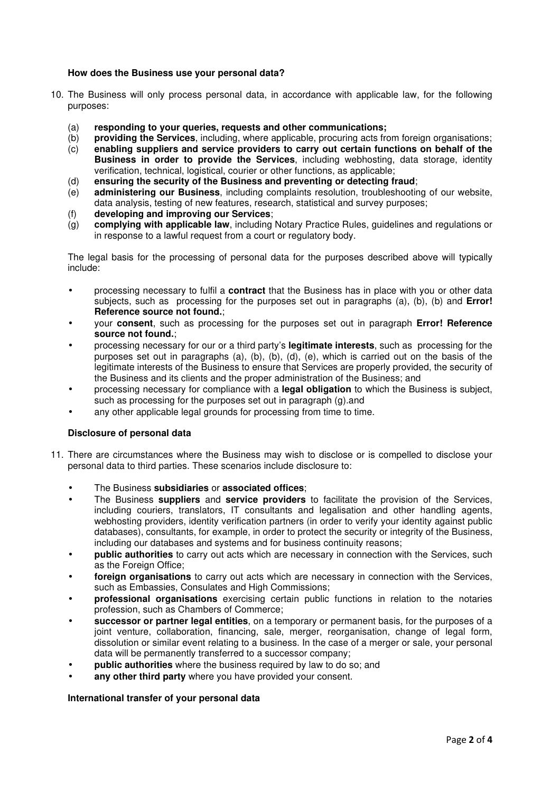# **How does the Business use your personal data?**

- 10. The Business will only process personal data, in accordance with applicable law, for the following purposes:
	- (a) **responding to your queries, requests and other communications;**
	- (b) **providing the Services**, including, where applicable, procuring acts from foreign organisations;
	- (c) **enabling suppliers and service providers to carry out certain functions on behalf of the Business in order to provide the Services**, including webhosting, data storage, identity verification, technical, logistical, courier or other functions, as applicable;
	- (d) **ensuring the security of the Business and preventing or detecting fraud**;
	- (e) **administering our Business**, including complaints resolution, troubleshooting of our website, data analysis, testing of new features, research, statistical and survey purposes;
	- (f) **developing and improving our Services**;
	- (g) **complying with applicable law**, including Notary Practice Rules, guidelines and regulations or in response to a lawful request from a court or regulatory body.

The legal basis for the processing of personal data for the purposes described above will typically include:

- processing necessary to fulfil a **contract** that the Business has in place with you or other data subjects, such as processing for the purposes set out in paragraphs (a), (b), (b) and **Error! Reference source not found.**;
- your **consent**, such as processing for the purposes set out in paragraph **Error! Reference source not found.**;
- processing necessary for our or a third party's **legitimate interests**, such as processing for the purposes set out in paragraphs (a), (b), (b), (d), (e), which is carried out on the basis of the legitimate interests of the Business to ensure that Services are properly provided, the security of the Business and its clients and the proper administration of the Business; and
- processing necessary for compliance with a **legal obligation** to which the Business is subject, such as processing for the purposes set out in paragraph (g).and
- any other applicable legal grounds for processing from time to time.

#### **Disclosure of personal data**

- 11. There are circumstances where the Business may wish to disclose or is compelled to disclose your personal data to third parties. These scenarios include disclosure to:
	- The Business **subsidiaries** or **associated offices**;
	- The Business **suppliers** and **service providers** to facilitate the provision of the Services, including couriers, translators, IT consultants and legalisation and other handling agents, webhosting providers, identity verification partners (in order to verify your identity against public databases), consultants, for example, in order to protect the security or integrity of the Business, including our databases and systems and for business continuity reasons;
	- **public authorities** to carry out acts which are necessary in connection with the Services, such as the Foreign Office:
	- **foreign organisations** to carry out acts which are necessary in connection with the Services, such as Embassies, Consulates and High Commissions:
	- **professional organisations** exercising certain public functions in relation to the notaries profession, such as Chambers of Commerce;
	- **successor or partner legal entities**, on a temporary or permanent basis, for the purposes of a joint venture, collaboration, financing, sale, merger, reorganisation, change of legal form, dissolution or similar event relating to a business. In the case of a merger or sale, your personal data will be permanently transferred to a successor company;
	- **public authorities** where the business required by law to do so; and
	- any other third party where you have provided your consent.

#### **International transfer of your personal data**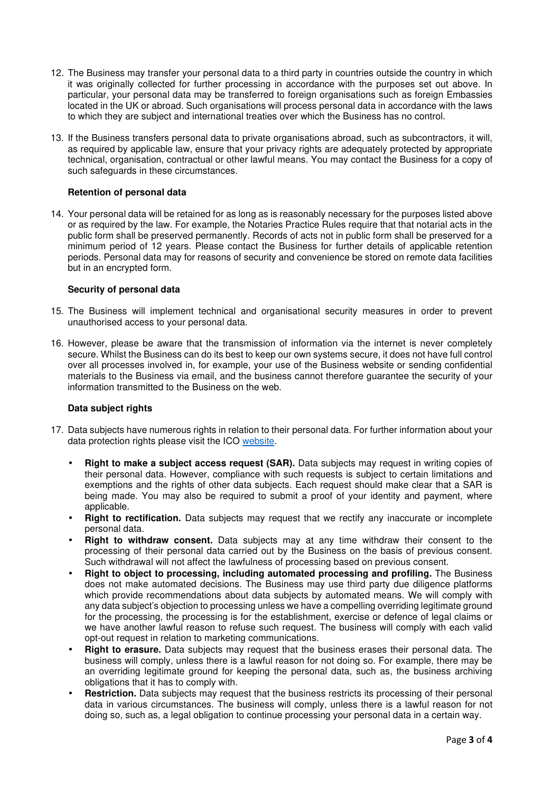- 12. The Business may transfer your personal data to a third party in countries outside the country in which it was originally collected for further processing in accordance with the purposes set out above. In particular, your personal data may be transferred to foreign organisations such as foreign Embassies located in the UK or abroad. Such organisations will process personal data in accordance with the laws to which they are subject and international treaties over which the Business has no control.
- 13. If the Business transfers personal data to private organisations abroad, such as subcontractors, it will, as required by applicable law, ensure that your privacy rights are adequately protected by appropriate technical, organisation, contractual or other lawful means. You may contact the Business for a copy of such safeguards in these circumstances.

## **Retention of personal data**

14. Your personal data will be retained for as long as is reasonably necessary for the purposes listed above or as required by the law. For example, the Notaries Practice Rules require that that notarial acts in the public form shall be preserved permanently. Records of acts not in public form shall be preserved for a minimum period of 12 years. Please contact the Business for further details of applicable retention periods. Personal data may for reasons of security and convenience be stored on remote data facilities but in an encrypted form.

#### **Security of personal data**

- 15. The Business will implement technical and organisational security measures in order to prevent unauthorised access to your personal data.
- 16. However, please be aware that the transmission of information via the internet is never completely secure. Whilst the Business can do its best to keep our own systems secure, it does not have full control over all processes involved in, for example, your use of the Business website or sending confidential materials to the Business via email, and the business cannot therefore guarantee the security of your information transmitted to the Business on the web.

#### **Data subject rights**

- 17. Data subjects have numerous rights in relation to their personal data. For further information about your data protection rights please visit the ICO website.
	- **Right to make a subject access request (SAR).** Data subjects may request in writing copies of their personal data. However, compliance with such requests is subject to certain limitations and exemptions and the rights of other data subjects. Each request should make clear that a SAR is being made. You may also be required to submit a proof of your identity and payment, where applicable.
	- **Right to rectification.** Data subjects may request that we rectify any inaccurate or incomplete personal data.
	- **Right to withdraw consent.** Data subjects may at any time withdraw their consent to the processing of their personal data carried out by the Business on the basis of previous consent. Such withdrawal will not affect the lawfulness of processing based on previous consent.
	- **Right to object to processing, including automated processing and profiling.** The Business does not make automated decisions. The Business may use third party due diligence platforms which provide recommendations about data subjects by automated means. We will comply with any data subject's objection to processing unless we have a compelling overriding legitimate ground for the processing, the processing is for the establishment, exercise or defence of legal claims or we have another lawful reason to refuse such request. The business will comply with each valid opt-out request in relation to marketing communications.
	- **Right to erasure.** Data subjects may request that the business erases their personal data. The business will comply, unless there is a lawful reason for not doing so. For example, there may be an overriding legitimate ground for keeping the personal data, such as, the business archiving obligations that it has to comply with.
	- **Restriction.** Data subjects may request that the business restricts its processing of their personal data in various circumstances. The business will comply, unless there is a lawful reason for not doing so, such as, a legal obligation to continue processing your personal data in a certain way.